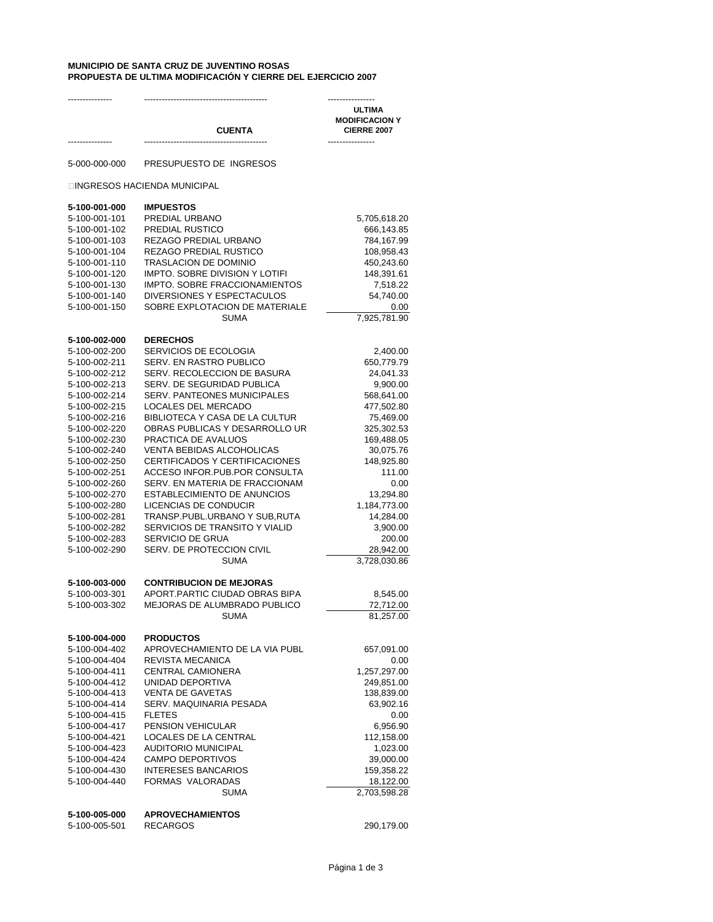## **MUNICIPIO DE SANTA CRUZ DE JUVENTINO ROSAS PROPUESTA DE ULTIMA MODIFICACIÓN Y CIERRE DEL EJERCICIO 2007**

| ---------------                |                                                                  | ----------------                                             |
|--------------------------------|------------------------------------------------------------------|--------------------------------------------------------------|
|                                | <b>CUENTA</b>                                                    | <b>ULTIMA</b><br><b>MODIFICACION Y</b><br><b>CIERRE 2007</b> |
|                                |                                                                  | ----------------                                             |
| 5-000-000-000                  | PRESUPUESTO DE INGRESOS                                          |                                                              |
|                                | INGRESOS HACIENDA MUNICIPAL                                      |                                                              |
| 5-100-001-000                  | <b>IMPUESTOS</b>                                                 |                                                              |
| 5-100-001-101                  | PREDIAL URBANO                                                   | 5,705,618.20                                                 |
| 5-100-001-102                  | PREDIAL RUSTICO                                                  | 666,143.85                                                   |
| 5-100-001-103<br>5-100-001-104 | REZAGO PREDIAL URBANO<br>REZAGO PREDIAL RUSTICO                  | 784,167.99<br>108,958.43                                     |
| 5-100-001-110                  | TRASLACION DE DOMINIO                                            | 450,243.60                                                   |
| 5-100-001-120                  | IMPTO. SOBRE DIVISION Y LOTIFI                                   | 148,391.61                                                   |
| 5-100-001-130                  | IMPTO. SOBRE FRACCIONAMIENTOS                                    | 7,518.22                                                     |
| 5-100-001-140                  | DIVERSIONES Y ESPECTACULOS                                       | 54,740.00                                                    |
| 5-100-001-150                  | SOBRE EXPLOTACION DE MATERIALE                                   | 0.00                                                         |
|                                | <b>SUMA</b>                                                      | 7,925,781.90                                                 |
| 5-100-002-000                  | <b>DERECHOS</b>                                                  |                                                              |
| 5-100-002-200                  | SERVICIOS DE ECOLOGIA                                            | 2,400.00                                                     |
| 5-100-002-211                  | SERV. EN RASTRO PUBLICO                                          | 650,779.79                                                   |
| 5-100-002-212                  | SERV. RECOLECCION DE BASURA                                      | 24,041.33                                                    |
| 5-100-002-213<br>5-100-002-214 | SERV. DE SEGURIDAD PUBLICA<br><b>SERV. PANTEONES MUNICIPALES</b> | 9,900.00<br>568,641.00                                       |
| 5-100-002-215                  | LOCALES DEL MERCADO                                              | 477,502.80                                                   |
| 5-100-002-216                  | <b>BIBLIOTECA Y CASA DE LA CULTUR</b>                            | 75,469.00                                                    |
| 5-100-002-220                  | OBRAS PUBLICAS Y DESARROLLO UR                                   | 325,302.53                                                   |
| 5-100-002-230                  | PRACTICA DE AVALUOS                                              | 169,488.05                                                   |
| 5-100-002-240                  | VENTA BEBIDAS ALCOHOLICAS                                        | 30,075.76                                                    |
| 5-100-002-250                  | CERTIFICADOS Y CERTIFICACIONES                                   | 148,925.80                                                   |
| 5-100-002-251                  | ACCESO INFOR.PUB.POR CONSULTA                                    | 111.00                                                       |
| 5-100-002-260                  | SERV. EN MATERIA DE FRACCIONAM                                   | 0.00                                                         |
| 5-100-002-270<br>5-100-002-280 | ESTABLECIMIENTO DE ANUNCIOS<br>LICENCIAS DE CONDUCIR             | 13,294.80                                                    |
| 5-100-002-281                  | TRANSP.PUBL.URBANO Y SUB, RUTA                                   | 1,184,773.00<br>14,284.00                                    |
| 5-100-002-282                  | SERVICIOS DE TRANSITO Y VIALID                                   | 3,900.00                                                     |
| 5-100-002-283                  | SERVICIO DE GRUA                                                 | 200.00                                                       |
| 5-100-002-290                  | SERV. DE PROTECCION CIVIL                                        | 28,942.00                                                    |
|                                | <b>SUMA</b>                                                      | 3,728,030.86                                                 |
| 5-100-003-000                  | <b>CONTRIBUCION DE MEJORAS</b>                                   |                                                              |
| 5-100-003-301                  | APORT.PARTIC CIUDAD OBRAS BIPA                                   | 8,545.00                                                     |
| 5-100-003-302                  | MEJORAS DE ALUMBRADO PUBLICO                                     | 72,712.00                                                    |
|                                | SUMA                                                             | 81,257.00                                                    |
| 5-100-004-000                  | <b>PRODUCTOS</b>                                                 |                                                              |
| 5-100-004-402                  | APROVECHAMIENTO DE LA VIA PUBL                                   | 657,091.00                                                   |
| 5-100-004-404                  | <b>REVISTA MECANICA</b>                                          | 0.00                                                         |
| 5-100-004-411<br>5-100-004-412 | <b>CENTRAL CAMIONERA</b><br>UNIDAD DEPORTIVA                     | 1,257,297.00<br>249,851.00                                   |
| 5-100-004-413                  | <b>VENTA DE GAVETAS</b>                                          | 138,839.00                                                   |
| 5-100-004-414                  | SERV. MAQUINARIA PESADA                                          | 63,902.16                                                    |
| 5-100-004-415                  | <b>FLETES</b>                                                    | 0.00                                                         |
| 5-100-004-417                  | <b>PENSION VEHICULAR</b>                                         | 6,956.90                                                     |
| 5-100-004-421                  | LOCALES DE LA CENTRAL                                            | 112,158.00                                                   |
| 5-100-004-423                  | <b>AUDITORIO MUNICIPAL</b>                                       | 1,023.00                                                     |
| 5-100-004-424                  | <b>CAMPO DEPORTIVOS</b>                                          | 39,000.00                                                    |
| 5-100-004-430                  | <b>INTERESES BANCARIOS</b>                                       | 159,358.22                                                   |
| 5-100-004-440                  | FORMAS VALORADAS<br><b>SUMA</b>                                  | 18,122.00<br>2,703,598.28                                    |
|                                |                                                                  |                                                              |
| 5-100-005-000                  | <b>APROVECHAMIENTOS</b>                                          |                                                              |
| 5-100-005-501                  | <b>RECARGOS</b>                                                  | 290,179.00                                                   |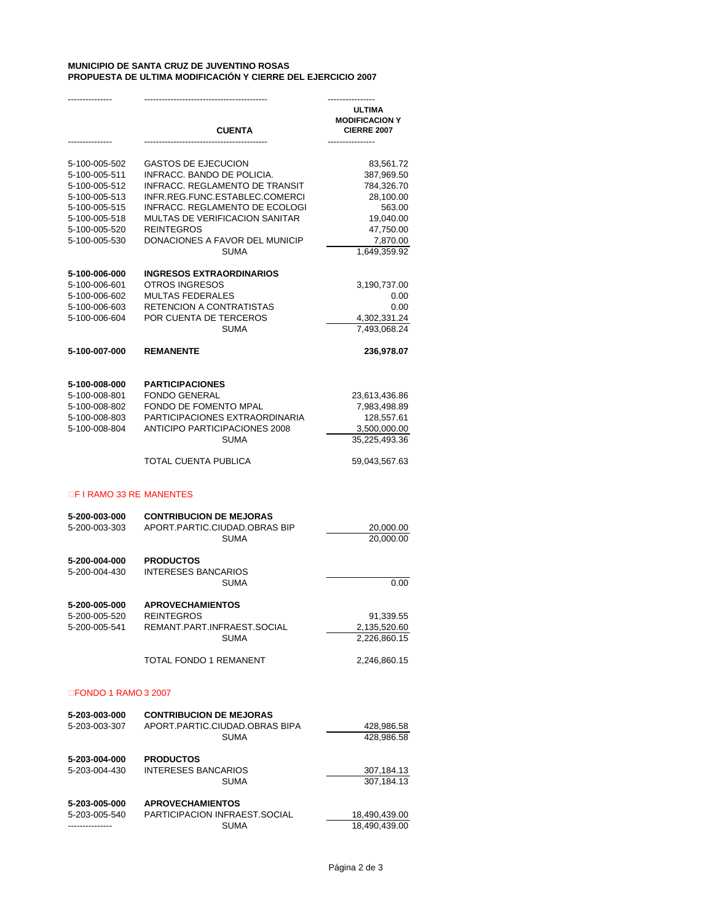## **MUNICIPIO DE SANTA CRUZ DE JUVENTINO ROSAS PROPUESTA DE ULTIMA MODIFICACIÓN Y CIERRE DEL EJERCICIO 2007**

|                                | <b>CUENTA</b>                                                    | ULTIMA<br><b>MODIFICACION Y</b><br><b>CIERRE 2007</b><br>------------ |
|--------------------------------|------------------------------------------------------------------|-----------------------------------------------------------------------|
| 5-100-005-502<br>5-100-005-511 | <b>GASTOS DE EJECUCION</b><br>INFRACC. BANDO DE POLICIA.         | 83,561.72<br>387,969.50                                               |
| 5-100-005-512                  | <b>INFRACC. REGLAMENTO DE TRANSIT</b>                            | 784,326.70                                                            |
| 5-100-005-513                  | INFR.REG.FUNC.ESTABLEC.COMERCI                                   | 28,100.00                                                             |
| 5-100-005-515                  | INFRACC. REGLAMENTO DE ECOLOGI                                   | 563.00                                                                |
| 5-100-005-518                  | MULTAS DE VERIFICACION SANITAR                                   | 19,040.00                                                             |
| 5-100-005-520                  | <b>REINTEGROS</b>                                                | 47,750.00                                                             |
| 5-100-005-530                  | DONACIONES A FAVOR DEL MUNICIP                                   | 7,870.00                                                              |
|                                | <b>SUMA</b>                                                      | 1,649,359.92                                                          |
| 5-100-006-000                  | <b>INGRESOS EXTRAORDINARIOS</b>                                  |                                                                       |
| 5-100-006-601                  | OTROS INGRESOS                                                   | 3,190,737.00                                                          |
| 5-100-006-602                  | <b>MULTAS FEDERALES</b>                                          | 0.00                                                                  |
| 5-100-006-603                  | RETENCION A CONTRATISTAS                                         | 0.00                                                                  |
| 5-100-006-604                  | POR CUENTA DE TERCEROS                                           | 4,302,331.24                                                          |
|                                | <b>SUMA</b>                                                      | 7,493,068.24                                                          |
| 5-100-007-000                  | <b>REMANENTE</b>                                                 | 236,978.07                                                            |
|                                | <b>PARTICIPACIONES</b>                                           |                                                                       |
| 5-100-008-000<br>5-100-008-801 | <b>FONDO GENERAL</b>                                             | 23,613,436.86                                                         |
| 5-100-008-802                  | FONDO DE FOMENTO MPAL                                            | 7,983,498.89                                                          |
| 5-100-008-803                  | PARTICIPACIONES EXTRAORDINARIA                                   | 128,557.61                                                            |
| 5-100-008-804                  | <b>ANTICIPO PARTICIPACIONES 2008</b>                             | 3,500,000.00                                                          |
|                                | <b>SUMA</b>                                                      | 35,225,493.36                                                         |
|                                | TOTAL CUENTA PUBLICA                                             | 59,043,567.63                                                         |
| F I RAMO 33 RE MANENTES        |                                                                  |                                                                       |
| 5-200-003-000                  | <b>CONTRIBUCION DE MEJORAS</b>                                   |                                                                       |
| 5-200-003-303                  | APORT.PARTIC.CIUDAD.OBRAS BIP                                    | 20,000.00                                                             |
|                                | <b>SUMA</b>                                                      | 20,000.00                                                             |
| 5-200-004-000                  | <b>PRODUCTOS</b>                                                 |                                                                       |
| 5-200-004-430                  | <b>INTERESES BANCARIOS</b>                                       |                                                                       |
|                                | <b>SUMA</b>                                                      | 0.00                                                                  |
| 5-200-005-000                  | <b>APROVECHAMIENTOS</b>                                          |                                                                       |
| 5-200-005-520                  | <b>REINTEGROS</b>                                                | 91,339.55                                                             |
| 5-200-005-541                  | REMANT.PART.INFRAEST.SOCIAL                                      | 2,135,520.60                                                          |
|                                | <b>SUMA</b>                                                      | 2,226,860.15                                                          |
|                                | TOTAL FONDO 1 REMANENT                                           | 2,246,860.15                                                          |
| <b>FONDO 1 RAMO 3 2007</b>     |                                                                  |                                                                       |
|                                |                                                                  |                                                                       |
| 5-203-003-000                  | <b>CONTRIBUCION DE MEJORAS</b><br>APORT.PARTIC.CIUDAD.OBRAS BIPA |                                                                       |
| 5-203-003-307                  | <b>SUMA</b>                                                      | 428,986.58<br>428.986.58                                              |
| 5-203-004-000                  | <b>PRODUCTOS</b>                                                 |                                                                       |
| 5-203-004-430                  | <b>INTERESES BANCARIOS</b>                                       | 307,184.13                                                            |
|                                | <b>SUMA</b>                                                      | 307,184.13                                                            |
| 5-203-005-000                  | <b>APROVECHAMIENTOS</b>                                          |                                                                       |
| 5-203-005-540                  | PARTICIPACION INFRAEST.SOCIAL                                    | 18,490,439.00                                                         |
| ---------------                | <b>SUMA</b>                                                      | 18,490,439.00                                                         |